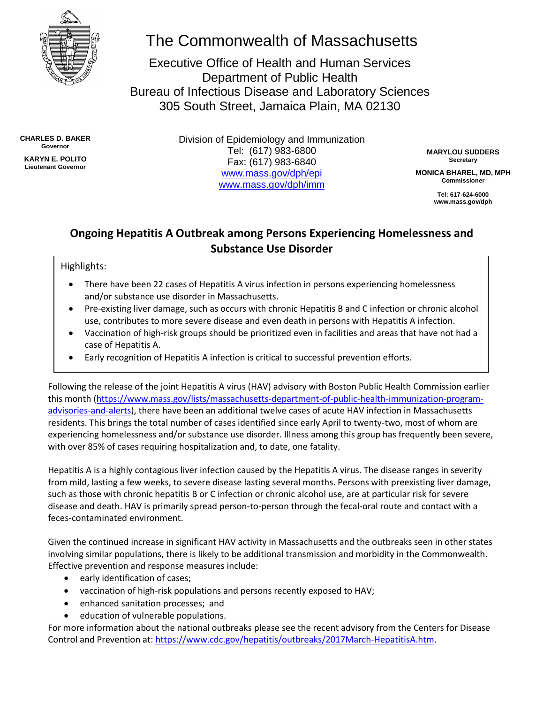

# The Commonwealth of Massachusetts

Executive Office of Health and Human Services Department of Public Health Bureau of Infectious Disease and Laboratory Sciences 305 South Street, Jamaica Plain, MA 02130

**CHARLES D. BAKER Governor**

**KARYN E. POLITO Lieutenant Governor**

Division of Epidemiology and Immunization Tel: (617) 983-6800 Fax: (617) 983-6840 [www.mass.gov/dph/epi](http://www.mass.gov/dph/epi) [www.mass.gov/dph/imm](http://www.mass.gov/dph/imm)

**MARYLOU SUDDERS Secretary**

**MONICA BHAREL, MD, MPH Commissioner**

> **Tel: 617-624-6000 www.mass.gov/dph**

# **Ongoing Hepatitis A Outbreak among Persons Experiencing Homelessness and Substance Use Disorder**

Highlights:

- There have been 22 cases of Hepatitis A virus infection in persons experiencing homelessness and/or substance use disorder in Massachusetts.
- Pre-existing liver damage, such as occurs with chronic Hepatitis B and C infection or chronic alcohol use, contributes to more severe disease and even death in persons with Hepatitis A infection.
- Vaccination of high-risk groups should be prioritized even in facilities and areas that have not had a case of Hepatitis A.
- Early recognition of Hepatitis A infection is critical to successful prevention efforts.

Following the release of the joint Hepatitis A virus (HAV) advisory with Boston Public Health Commission earlier this month [\(https://www.mass.gov/lists/massachusetts-department-of-public-health-immunization-program](https://www.mass.gov/lists/massachusetts-department-of-public-health-immunization-program-advisories-and-alerts)[advisories-and-alerts\)](https://www.mass.gov/lists/massachusetts-department-of-public-health-immunization-program-advisories-and-alerts), there have been an additional twelve cases of acute HAV infection in Massachusetts residents. This brings the total number of cases identified since early April to twenty-two, most of whom are experiencing homelessness and/or substance use disorder. Illness among this group has frequently been severe, with over 85% of cases requiring hospitalization and, to date, one fatality.

Hepatitis A is a highly contagious liver infection caused by the Hepatitis A virus. The disease ranges in severity from mild, lasting a few weeks, to severe disease lasting several months. Persons with preexisting liver damage, such as those with chronic hepatitis B or C infection or chronic alcohol use, are at particular risk for severe disease and death. HAV is primarily spread person-to-person through the fecal-oral route and contact with a feces-contaminated environment.

Given the continued increase in significant HAV activity in Massachusetts and the outbreaks seen in other states involving similar populations, there is likely to be additional transmission and morbidity in the Commonwealth. Effective prevention and response measures include:

- early identification of cases;
- vaccination of high-risk populations and persons recently exposed to HAV;
- enhanced sanitation processes; and
- education of vulnerable populations.

For more information about the national outbreaks please see the recent advisory from the Centers for Disease Control and Prevention at: [https://www.cdc.gov/hepatitis/outbreaks/2017March-HepatitisA.htm.](https://www.cdc.gov/hepatitis/outbreaks/2017March-HepatitisA.htm)